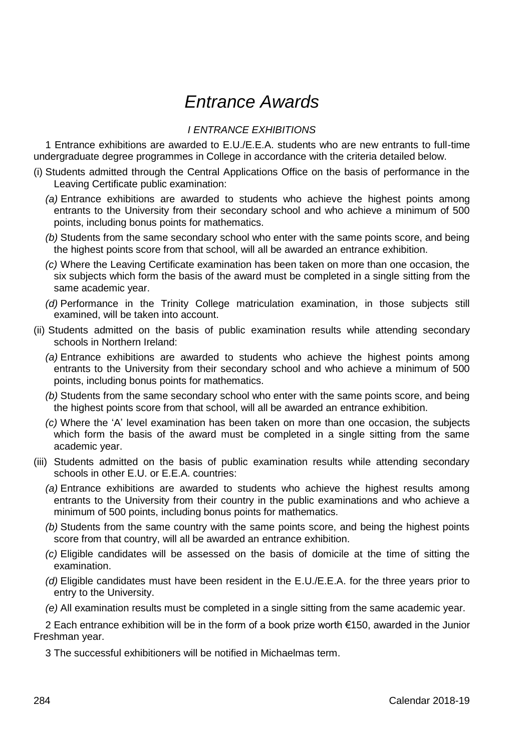# *Entrance Awards*

## *I ENTRANCE EXHIBITIONS*

1 Entrance exhibitions are awarded to E.U./E.E.A. students who are new entrants to full-time undergraduate degree programmes in College in accordance with the criteria detailed below.

- (i) Students admitted through the Central Applications Office on the basis of performance in the Leaving Certificate public examination:
	- *(a)* Entrance exhibitions are awarded to students who achieve the highest points among entrants to the University from their secondary school and who achieve a minimum of 500 points, including bonus points for mathematics.
	- *(b)* Students from the same secondary school who enter with the same points score, and being the highest points score from that school, will all be awarded an entrance exhibition.
	- *(c)* Where the Leaving Certificate examination has been taken on more than one occasion, the six subjects which form the basis of the award must be completed in a single sitting from the same academic year.
	- *(d)* Performance in the Trinity College matriculation examination, in those subjects still examined, will be taken into account.
- (ii) Students admitted on the basis of public examination results while attending secondary schools in Northern Ireland:
	- *(a)* Entrance exhibitions are awarded to students who achieve the highest points among entrants to the University from their secondary school and who achieve a minimum of 500 points, including bonus points for mathematics.
	- *(b)* Students from the same secondary school who enter with the same points score, and being the highest points score from that school, will all be awarded an entrance exhibition.
	- *(c)* Where the 'A' level examination has been taken on more than one occasion, the subjects which form the basis of the award must be completed in a single sitting from the same academic year.
- (iii) Students admitted on the basis of public examination results while attending secondary schools in other E.U. or E.E.A. countries:
	- *(a)* Entrance exhibitions are awarded to students who achieve the highest results among entrants to the University from their country in the public examinations and who achieve a minimum of 500 points, including bonus points for mathematics.
	- *(b)* Students from the same country with the same points score, and being the highest points score from that country, will all be awarded an entrance exhibition.
	- *(c)* Eligible candidates will be assessed on the basis of domicile at the time of sitting the examination.
	- *(d)* Eligible candidates must have been resident in the E.U./E.E.A. for the three years prior to entry to the University.
	- *(e)* All examination results must be completed in a single sitting from the same academic year.

2 Each entrance exhibition will be in the form of a book prize worth €150, awarded in the Junior Freshman year.

3 The successful exhibitioners will be notified in Michaelmas term.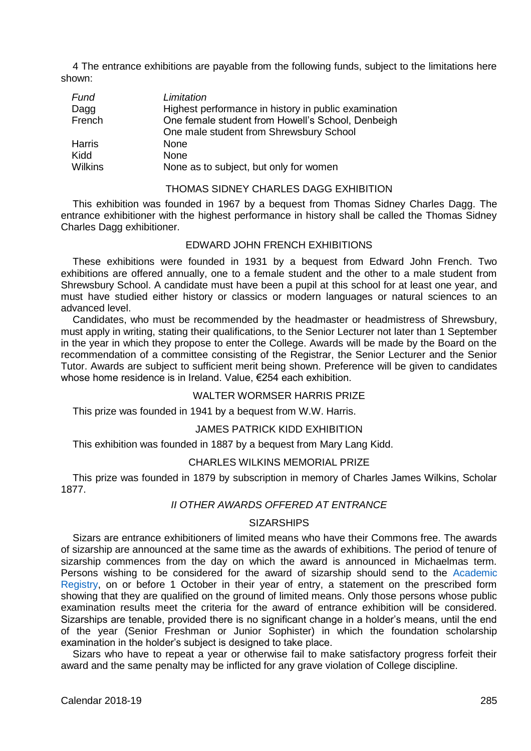4 The entrance exhibitions are payable from the following funds, subject to the limitations here shown:

| Fund    | Limitation                                           |
|---------|------------------------------------------------------|
| Dagg    | Highest performance in history in public examination |
| French  | One female student from Howell's School, Denbeigh    |
|         | One male student from Shrewsbury School              |
| Harris  | None                                                 |
| Kidd    | None                                                 |
| Wilkins | None as to subject, but only for women               |

## THOMAS SIDNEY CHARLES DAGG EXHIBITION

This exhibition was founded in 1967 by a bequest from Thomas Sidney Charles Dagg. The entrance exhibitioner with the highest performance in history shall be called the Thomas Sidney Charles Dagg exhibitioner.

#### EDWARD JOHN FRENCH EXHIBITIONS

These exhibitions were founded in 1931 by a bequest from Edward John French. Two exhibitions are offered annually, one to a female student and the other to a male student from Shrewsbury School. A candidate must have been a pupil at this school for at least one year, and must have studied either history or classics or modern languages or natural sciences to an advanced level.

Candidates, who must be recommended by the headmaster or headmistress of Shrewsbury, must apply in writing, stating their qualifications, to the Senior Lecturer not later than 1 September in the year in which they propose to enter the College. Awards will be made by the Board on the recommendation of a committee consisting of the Registrar, the Senior Lecturer and the Senior Tutor. Awards are subject to sufficient merit being shown. Preference will be given to candidates whose home residence is in Ireland. Value, €254 each exhibition.

## WALTER WORMSER HARRIS PRIZE

This prize was founded in 1941 by a bequest from W.W. Harris.

#### JAMES PATRICK KIDD EXHIBITION

This exhibition was founded in 1887 by a bequest from Mary Lang Kidd.

#### CHARLES WILKINS MEMORIAL PRIZE

This prize was founded in 1879 by subscription in memory of Charles James Wilkins, Scholar 1877.

#### *II OTHER AWARDS OFFERED AT ENTRANCE*

#### **SIZARSHIPS**

Sizars are entrance exhibitioners of limited means who have their Commons free. The awards of sizarship are announced at the same time as the awards of exhibitions. The period of tenure of sizarship commences from the day on which the award is announced in Michaelmas term. Persons wishing to be considered for the award of sizarship should send to the [Academic](https://www.tcd.ie/academicregistry/)  [Registry,](https://www.tcd.ie/academicregistry/) on or before 1 October in their year of entry, a statement on the prescribed form showing that they are qualified on the ground of limited means. Only those persons whose public examination results meet the criteria for the award of entrance exhibition will be considered. Sizarships are tenable, provided there is no significant change in a holder's means, until the end of the year (Senior Freshman or Junior Sophister) in which the foundation scholarship examination in the holder's subject is designed to take place.

Sizars who have to repeat a year or otherwise fail to make satisfactory progress forfeit their award and the same penalty may be inflicted for any grave violation of College discipline.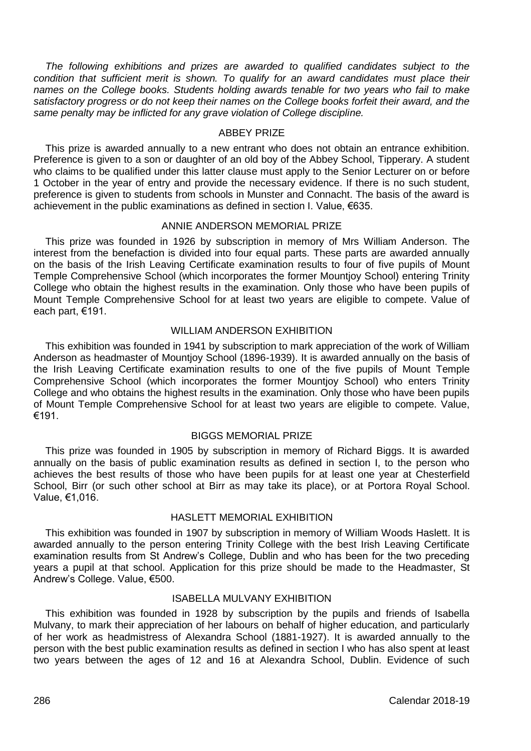*The following exhibitions and prizes are awarded to qualified candidates subject to the condition that sufficient merit is shown. To qualify for an award candidates must place their names on the College books. Students holding awards tenable for two years who fail to make satisfactory progress or do not keep their names on the College books forfeit their award, and the same penalty may be inflicted for any grave violation of College discipline.*

#### ABBEY PRIZE

This prize is awarded annually to a new entrant who does not obtain an entrance exhibition. Preference is given to a son or daughter of an old boy of the Abbey School, Tipperary. A student who claims to be qualified under this latter clause must apply to the Senior Lecturer on or before 1 October in the year of entry and provide the necessary evidence. If there is no such student, preference is given to students from schools in Munster and Connacht. The basis of the award is achievement in the public examinations as defined in section I. Value, €635.

## ANNIE ANDERSON MEMORIAL PRIZE

This prize was founded in 1926 by subscription in memory of Mrs William Anderson. The interest from the benefaction is divided into four equal parts. These parts are awarded annually on the basis of the Irish Leaving Certificate examination results to four of five pupils of Mount Temple Comprehensive School (which incorporates the former Mountjoy School) entering Trinity College who obtain the highest results in the examination. Only those who have been pupils of Mount Temple Comprehensive School for at least two years are eligible to compete. Value of each part, €191.

#### WILLIAM ANDERSON EXHIBITION

This exhibition was founded in 1941 by subscription to mark appreciation of the work of William Anderson as headmaster of Mountjoy School (1896-1939). It is awarded annually on the basis of the Irish Leaving Certificate examination results to one of the five pupils of Mount Temple Comprehensive School (which incorporates the former Mountjoy School) who enters Trinity College and who obtains the highest results in the examination. Only those who have been pupils of Mount Temple Comprehensive School for at least two years are eligible to compete. Value, €191.

#### BIGGS MEMORIAL PRIZE

This prize was founded in 1905 by subscription in memory of Richard Biggs. It is awarded annually on the basis of public examination results as defined in section I, to the person who achieves the best results of those who have been pupils for at least one year at Chesterfield School, Birr (or such other school at Birr as may take its place), or at Portora Royal School. Value, €1,016.

## HASLETT MEMORIAL EXHIBITION

This exhibition was founded in 1907 by subscription in memory of William Woods Haslett. It is awarded annually to the person entering Trinity College with the best Irish Leaving Certificate examination results from St Andrew's College, Dublin and who has been for the two preceding years a pupil at that school. Application for this prize should be made to the Headmaster, St Andrew's College. Value, €500.

### ISABELLA MULVANY EXHIBITION

This exhibition was founded in 1928 by subscription by the pupils and friends of Isabella Mulvany, to mark their appreciation of her labours on behalf of higher education, and particularly of her work as headmistress of Alexandra School (1881-1927). It is awarded annually to the person with the best public examination results as defined in section I who has also spent at least two years between the ages of 12 and 16 at Alexandra School, Dublin. Evidence of such